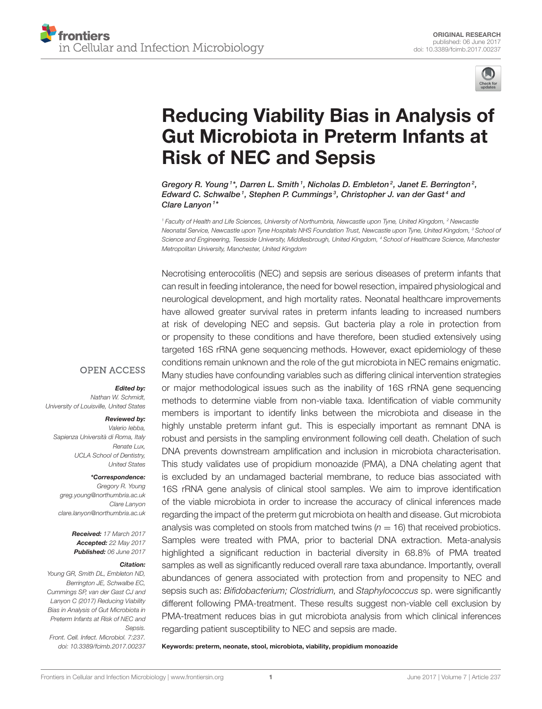

# Reducing Viability Bias in Analysis of [Gut Microbiota in Preterm Infants at](http://journal.frontiersin.org/article/10.3389/fcimb.2017.00237/abstract) Risk of NEC and Sepsis

[Gregory R. Young](http://loop.frontiersin.org/people/406908/overview)<sup>1\*</sup>, [Darren L. Smith](http://loop.frontiersin.org/people/199505/overview)<sup>1</sup>, [Nicholas D. Embleton](http://loop.frontiersin.org/people/199652/overview)<sup>2</sup>, [Janet E. Berrington](http://loop.frontiersin.org/people/294823/overview)<sup>2</sup>, Edward C. Schwalbe<sup>1</sup>, Stephen P. Cummings<sup>3</sup>, Christopher J. van der Gast<sup>4</sup> and [Clare Lanyon](http://loop.frontiersin.org/people/410282/overview)<sup>1\*</sup>

<sup>1</sup> Faculty of Health and Life Sciences, University of Northumbria, Newcastle upon Tyne, United Kingdom, <sup>2</sup> Newcastle Neonatal Service, Newcastle upon Tyne Hospitals NHS Foundation Trust, Newcastle upon Tyne, United Kingdom, <sup>3</sup> School of Science and Engineering, Teesside University, Middlesbrough, United Kingdom, <sup>4</sup> School of Healthcare Science, Manchester Metropolitan University, Manchester, United Kingdom

Necrotising enterocolitis (NEC) and sepsis are serious diseases of preterm infants that can result in feeding intolerance, the need for bowel resection, impaired physiological and neurological development, and high mortality rates. Neonatal healthcare improvements have allowed greater survival rates in preterm infants leading to increased numbers at risk of developing NEC and sepsis. Gut bacteria play a role in protection from or propensity to these conditions and have therefore, been studied extensively using targeted 16S rRNA gene sequencing methods. However, exact epidemiology of these conditions remain unknown and the role of the gut microbiota in NEC remains enigmatic. Many studies have confounding variables such as differing clinical intervention strategies or major methodological issues such as the inability of 16S rRNA gene sequencing methods to determine viable from non-viable taxa. Identification of viable community members is important to identify links between the microbiota and disease in the highly unstable preterm infant gut. This is especially important as remnant DNA is robust and persists in the sampling environment following cell death. Chelation of such DNA prevents downstream amplification and inclusion in microbiota characterisation. This study validates use of propidium monoazide (PMA), a DNA chelating agent that is excluded by an undamaged bacterial membrane, to reduce bias associated with 16S rRNA gene analysis of clinical stool samples. We aim to improve identification of the viable microbiota in order to increase the accuracy of clinical inferences made regarding the impact of the preterm gut microbiota on health and disease. Gut microbiota analysis was completed on stools from matched twins ( $n = 16$ ) that received probiotics. Samples were treated with PMA, prior to bacterial DNA extraction. Meta-analysis highlighted a significant reduction in bacterial diversity in 68.8% of PMA treated samples as well as significantly reduced overall rare taxa abundance. Importantly, overall abundances of genera associated with protection from and propensity to NEC and sepsis such as: Bifidobacterium; Clostridium, and Staphylococcus sp. were significantly different following PMA-treatment. These results suggest non-viable cell exclusion by PMA-treatment reduces bias in gut microbiota analysis from which clinical inferences regarding patient susceptibility to NEC and sepsis are made.

Keywords: preterm, neonate, stool, microbiota, viability, propidium monoazide

#### **OPEN ACCESS**

#### Edited by:

Nathan W. Schmidt, University of Louisville, United States

#### Reviewed by:

Valerio Iebba, Sapienza Università di Roma, Italy Renate Lux, UCLA School of Dentistry, United States

#### \*Correspondence:

Gregory R. Young [greg.young@northumbria.ac.uk](mailto:greg.young@northumbria.ac.uk) Clare Lanyon [clare.lanyon@northumbria.ac.uk](mailto:clare.lanyon@northumbria.ac.uk)

> Received: 17 March 2017 Accepted: 22 May 2017 Published: 06 June 2017

#### Citation:

Young GR, Smith DL, Embleton ND, Berrington JE, Schwalbe EC, Cummings SP, van der Gast CJ and Lanyon C (2017) Reducing Viability Bias in Analysis of Gut Microbiota in Preterm Infants at Risk of NEC and Sepsis. Front. Cell. Infect. Microbiol. 7:237. doi: [10.3389/fcimb.2017.00237](https://doi.org/10.3389/fcimb.2017.00237)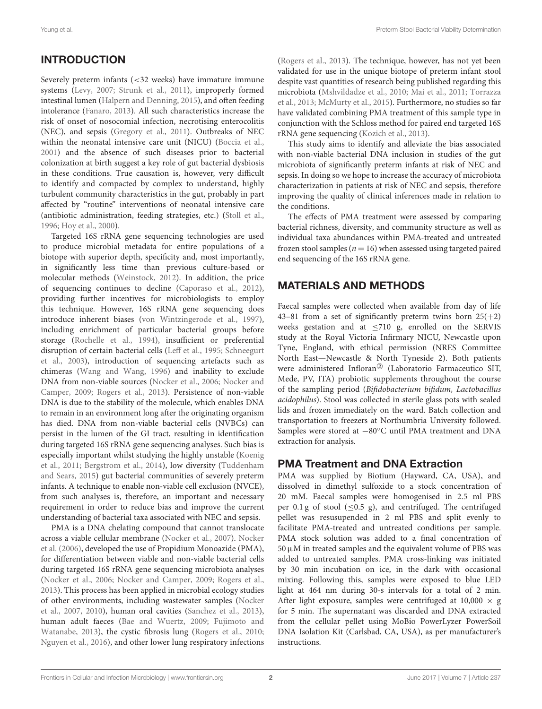# INTRODUCTION

Severely preterm infants (<32 weeks) have immature immune systems [\(Levy, 2007;](#page-8-0) [Strunk et al., 2011\)](#page-9-0), improperly formed intestinal lumen [\(Halpern and Denning, 2015\)](#page-8-1), and often feeding intolerance [\(Fanaro, 2013\)](#page-8-2). All such characteristics increase the risk of onset of nosocomial infection, necrotising enterocolitis (NEC), and sepsis [\(Gregory et al., 2011\)](#page-8-3). Outbreaks of NEC within the neonatal intensive care unit (NICU) [\(Boccia et al.,](#page-8-4) [2001\)](#page-8-4) and the absence of such diseases prior to bacterial colonization at birth suggest a key role of gut bacterial dysbiosis in these conditions. True causation is, however, very difficult to identify and compacted by complex to understand, highly turbulent community characteristics in the gut, probably in part affected by "routine" interventions of neonatal intensive care (antibiotic administration, feeding strategies, etc.) [\(Stoll et al.,](#page-9-1) [1996;](#page-9-1) [Hoy et al., 2000\)](#page-8-5).

Targeted 16S rRNA gene sequencing technologies are used to produce microbial metadata for entire populations of a biotope with superior depth, specificity and, most importantly, in significantly less time than previous culture-based or molecular methods [\(Weinstock, 2012\)](#page-9-2). In addition, the price of sequencing continues to decline [\(Caporaso et al., 2012\)](#page-8-6), providing further incentives for microbiologists to employ this technique. However, 16S rRNA gene sequencing does introduce inherent biases [\(von Wintzingerode et al., 1997\)](#page-9-3), including enrichment of particular bacterial groups before storage [\(Rochelle et al., 1994\)](#page-9-4), insufficient or preferential disruption of certain bacterial cells [\(Leff et al., 1995;](#page-8-7) Schneegurt et al., [2003\)](#page-9-5), introduction of sequencing artefacts such as chimeras [\(Wang and Wang, 1996\)](#page-9-6) and inability to exclude DNA from non-viable sources [\(Nocker et al., 2006;](#page-8-8) Nocker and Camper, [2009;](#page-8-9) [Rogers et al., 2013\)](#page-9-7). Persistence of non-viable DNA is due to the stability of the molecule, which enables DNA to remain in an environment long after the originating organism has died. DNA from non-viable bacterial cells (NVBCs) can persist in the lumen of the GI tract, resulting in identification during targeted 16S rRNA gene sequencing analyses. Such bias is especially important whilst studying the highly unstable (Koenig et al., [2011;](#page-8-10) [Bergstrom et al., 2014\)](#page-8-11), low diversity (Tuddenham and Sears, [2015\)](#page-9-8) gut bacterial communities of severely preterm infants. A technique to enable non-viable cell exclusion (NVCE), from such analyses is, therefore, an important and necessary requirement in order to reduce bias and improve the current understanding of bacterial taxa associated with NEC and sepsis.

PMA is a DNA chelating compound that cannot translocate across a viable cellular membrane [\(Nocker et al., 2007\)](#page-8-12). Nocker et al. [\(2006\)](#page-8-8), developed the use of Propidium Monoazide (PMA), for differentiation between viable and non-viable bacterial cells during targeted 16S rRNA gene sequencing microbiota analyses [\(Nocker et al., 2006;](#page-8-8) [Nocker and Camper, 2009;](#page-8-9) [Rogers et al.,](#page-9-7) [2013\)](#page-9-7). This process has been applied in microbial ecology studies of other environments, including wastewater samples (Nocker et al., [2007,](#page-8-12) [2010\)](#page-8-13), human oral cavities [\(Sanchez et al., 2013\)](#page-9-9), human adult faeces [\(Bae and Wuertz, 2009;](#page-8-14) Fujimoto and Watanabe, [2013\)](#page-8-15), the cystic fibrosis lung [\(Rogers et al., 2010;](#page-9-10) [Nguyen et al., 2016\)](#page-8-16), and other lower lung respiratory infections [\(Rogers et al., 2013\)](#page-9-7). The technique, however, has not yet been validated for use in the unique biotope of preterm infant stool despite vast quantities of research being published regarding this microbiota [\(Mshvildadze et al., 2010;](#page-8-17) [Mai et al., 2011;](#page-8-18) Torrazza et al., [2013;](#page-9-11) [McMurty et al., 2015\)](#page-8-19). Furthermore, no studies so far have validated combining PMA treatment of this sample type in conjunction with the Schloss method for paired end targeted 16S rRNA gene sequencing [\(Kozich et al., 2013\)](#page-8-20).

This study aims to identify and alleviate the bias associated with non-viable bacterial DNA inclusion in studies of the gut microbiota of significantly preterm infants at risk of NEC and sepsis. In doing so we hope to increase the accuracy of microbiota characterization in patients at risk of NEC and sepsis, therefore improving the quality of clinical inferences made in relation to the conditions.

The effects of PMA treatment were assessed by comparing bacterial richness, diversity, and community structure as well as individual taxa abundances within PMA-treated and untreated frozen stool samples ( $n = 16$ ) when assessed using targeted paired end sequencing of the 16S rRNA gene.

#### MATERIALS AND METHODS

Faecal samples were collected when available from day of life 43–81 from a set of significantly preterm twins born  $25(+2)$ weeks gestation and at ≤710 g, enrolled on the SERVIS study at the Royal Victoria Infirmary NICU, Newcastle upon Tyne, England, with ethical permission (NRES Committee North East—Newcastle & North Tyneside 2). Both patients were administered Infloran<sup>®</sup> (Laboratorio Farmaceutico SIT, Mede, PV, ITA) probiotic supplements throughout the course of the sampling period (Bifidobacterium bifidum, Lactobacillus acidophilus). Stool was collected in sterile glass pots with sealed lids and frozen immediately on the ward. Batch collection and transportation to freezers at Northumbria University followed. Samples were stored at −80◦C until PMA treatment and DNA extraction for analysis.

#### PMA Treatment and DNA Extraction

PMA was supplied by Biotium (Hayward, CA, USA), and dissolved in dimethyl sulfoxide to a stock concentration of 20 mM. Faecal samples were homogenised in 2.5 ml PBS per 0.1 g of stool  $(\leq 0.5 \text{ g})$ , and centrifuged. The centrifuged pellet was resusupended in 2 ml PBS and split evenly to facilitate PMA-treated and untreated conditions per sample. PMA stock solution was added to a final concentration of  $50 \mu$ M in treated samples and the equivalent volume of PBS was added to untreated samples. PMA cross-linking was initiated by 30 min incubation on ice, in the dark with occasional mixing. Following this, samples were exposed to blue LED light at 464 nm during 30-s intervals for a total of 2 min. After light exposure, samples were centrifuged at  $10,000 \times g$ for 5 min. The supernatant was discarded and DNA extracted from the cellular pellet using MoBio PowerLyzer PowerSoil DNA Isolation Kit (Carlsbad, CA, USA), as per manufacturer's instructions.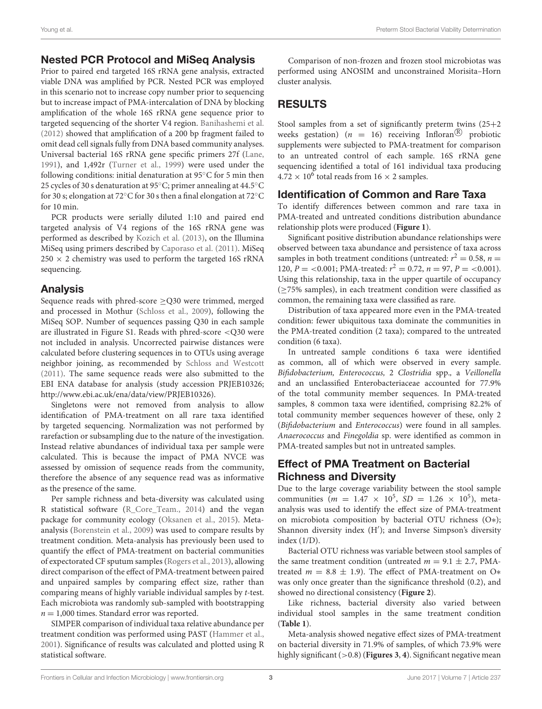#### Nested PCR Protocol and MiSeq Analysis

Prior to paired end targeted 16S rRNA gene analysis, extracted viable DNA was amplified by PCR. Nested PCR was employed in this scenario not to increase copy number prior to sequencing but to increase impact of PMA-intercalation of DNA by blocking amplification of the whole 16S rRNA gene sequence prior to targeted sequencing of the shorter V4 region. [Banihashemi et al.](#page-8-21) [\(2012\)](#page-8-21) showed that amplification of a 200 bp fragment failed to omit dead cell signals fully from DNA based community analyses. Universal bacterial 16S rRNA gene specific primers 27f [\(Lane,](#page-8-22) [1991\)](#page-8-22), and 1,492r [\(Turner et al., 1999\)](#page-9-12) were used under the following conditions: initial denaturation at 95◦C for 5 min then 25 cycles of 30 s denaturation at 95◦C; primer annealing at 44.5◦C for 30 s; elongation at 72◦C for 30 s then a final elongation at 72◦C for 10 min.

PCR products were serially diluted 1:10 and paired end targeted analysis of V4 regions of the 16S rRNA gene was performed as described by [Kozich et al. \(2013\)](#page-8-20), on the Illumina MiSeq using primers described by [Caporaso et al. \(2011\)](#page-8-23). MiSeq  $250 \times 2$  chemistry was used to perform the targeted 16S rRNA sequencing.

## Analysis

Sequence reads with phred-score ≥Q30 were trimmed, merged and processed in Mothur [\(Schloss et al., 2009\)](#page-9-13), following the MiSeq SOP. Number of sequences passing Q30 in each sample are illustrated in Figure S1. Reads with phred-score <Q30 were not included in analysis. Uncorrected pairwise distances were calculated before clustering sequences in to OTUs using average neighbor joining, as recommended by [Schloss and Westcott](#page-9-14) [\(2011\)](#page-9-14). The same sequence reads were also submitted to the EBI ENA database for analysis (study accession PRJEB10326; [http://www.ebi.ac.uk/ena/data/view/PRJEB10326\)](http://www.ebi.ac.uk/ena/data/view/PRJEB10326).

Singletons were not removed from analysis to allow identification of PMA-treatment on all rare taxa identified by targeted sequencing. Normalization was not performed by rarefaction or subsampling due to the nature of the investigation. Instead relative abundances of individual taxa per sample were calculated. This is because the impact of PMA NVCE was assessed by omission of sequence reads from the community, therefore the absence of any sequence read was as informative as the presence of the same.

Per sample richness and beta-diversity was calculated using R statistical software [\(R\\_Core\\_Team., 2014\)](#page-9-15) and the vegan package for community ecology [\(Oksanen et al., 2015\)](#page-8-24). Metaanalysis [\(Borenstein et al., 2009\)](#page-8-25) was used to compare results by treatment condition. Meta-analysis has previously been used to quantify the effect of PMA-treatment on bacterial communities of expectorated CF sputum samples [\(Rogers et al., 2013\)](#page-9-7), allowing direct comparison of the effect of PMA-treatment between paired and unpaired samples by comparing effect size, rather than comparing means of highly variable individual samples by t-test. Each microbiota was randomly sub-sampled with bootstrapping  $n = 1,000$  times. Standard error was reported.

SIMPER comparison of individual taxa relative abundance per treatment condition was performed using PAST [\(Hammer et al.,](#page-8-26) [2001\)](#page-8-26). Significance of results was calculated and plotted using R statistical software.

Comparison of non-frozen and frozen stool microbiotas was performed using ANOSIM and unconstrained Morisita–Horn cluster analysis.

# RESULTS

Stool samples from a set of significantly preterm twins (25+2 weeks gestation) ( $n = 16$ ) receiving Infloran<sup>®</sup> probiotic supplements were subjected to PMA-treatment for comparison to an untreated control of each sample. 16S rRNA gene sequencing identified a total of 161 individual taxa producing  $4.72 \times 10^6$  total reads from 16  $\times$  2 samples.

#### Identification of Common and Rare Taxa

To identify differences between common and rare taxa in PMA-treated and untreated conditions distribution abundance relationship plots were produced (**[Figure 1](#page-3-0)**).

Significant positive distribution abundance relationships were observed between taxa abundance and persistence of taxa across samples in both treatment conditions (untreated:  $r^2 = 0.58$ ,  $n =$ 120,  $P = <0.001$ ; PMA-treated:  $r^2 = 0.72$ ,  $n = 97$ ,  $P = <0.001$ ). Using this relationship, taxa in the upper quartile of occupancy (≥75% samples), in each treatment condition were classified as common, the remaining taxa were classified as rare.

Distribution of taxa appeared more even in the PMA-treated condition: fewer ubiquitous taxa dominate the communities in the PMA-treated condition (2 taxa); compared to the untreated condition (6 taxa).

In untreated sample conditions 6 taxa were identified as common, all of which were observed in every sample. Bifidobacterium, Enterococcus, 2 Clostridia spp., a Veillonella and an unclassified Enterobacteriaceae accounted for 77.9% of the total community member sequences. In PMA-treated samples, 8 common taxa were identified, comprising 82.2% of total community member sequences however of these, only 2 (Bifidobacterium and Enterococcus) were found in all samples. Anaerococcus and Finegoldia sp. were identified as common in PMA-treated samples but not in untreated samples.

### Effect of PMA Treatment on Bacterial Richness and Diversity

Due to the large coverage variability between the stool sample communities ( $m = 1.47 \times 10^5$ ,  $SD = 1.26 \times 10^5$ ), metaanalysis was used to identify the effect size of PMA-treatment on microbiota composition by bacterial OTU richness (O∗); Shannon diversity index (H′ ); and Inverse Simpson's diversity index (1/D).

Bacterial OTU richness was variable between stool samples of the same treatment condition (untreated  $m = 9.1 \pm 2.7$ , PMAtreated  $m = 8.8 \pm 1.9$ ). The effect of PMA-treatment on O\* was only once greater than the significance threshold (0.2), and showed no directional consistency (**[Figure 2](#page-3-1)**).

Like richness, bacterial diversity also varied between individual stool samples in the same treatment condition (**[Table 1](#page-3-2)**).

Meta-analysis showed negative effect sizes of PMA-treatment on bacterial diversity in 71.9% of samples, of which 73.9% were highly significant (>0.8) (**[Figures 3](#page-4-0)**, **[4](#page-4-1)**). Significant negative mean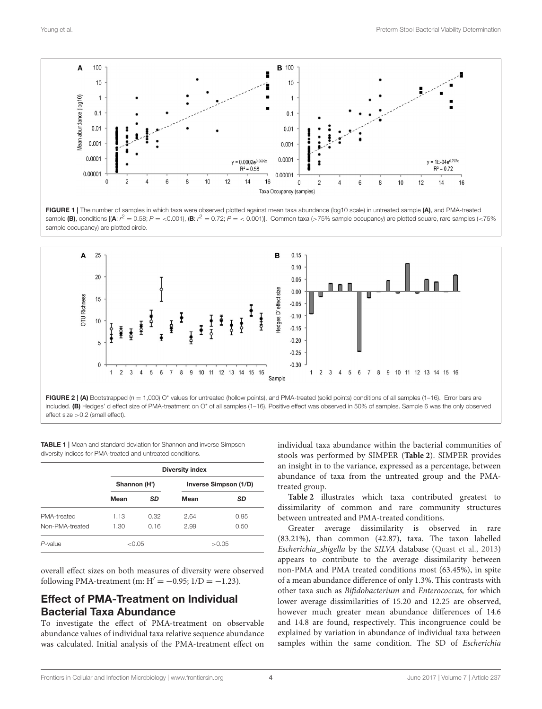

<span id="page-3-0"></span>FIGURE 1 | The number of samples in which taxa were observed plotted against mean taxa abundance (log10 scale) in untreated sample (A), and PMA-treated sample (B), conditions [(A:  $r^2 = 0.58$ ; P = <0.001), (B:  $r^2 = 0.72$ ; P = <0.001)]. Common taxa (>75% sample occupancy) are plotted square, rare samples (<75%) sample occupancy) are plotted circle.



<span id="page-3-1"></span>FIGURE 2 | (A) Bootstrapped  $(n = 1,000)$  O\* values for untreated (hollow points), and PMA-treated (solid points) conditions of all samples (1–16). Error bars are included. (B) Hedges' d effect size of PMA-treatment on O\* of all samples (1-16). Positive effect was observed in 50% of samples. Sample 6 was the only observed effect size >0.2 (small effect).

<span id="page-3-2"></span>**TABLE 1** | Mean and standard deviation for Shannon and inverse Simpson diversity indices for PMA-treated and untreated conditions.

|                 | Diversity index |      |                       |           |  |
|-----------------|-----------------|------|-----------------------|-----------|--|
|                 | Shannon (H')    |      | Inverse Simpson (1/D) |           |  |
|                 | Mean            | SD   | Mean                  | <b>SD</b> |  |
| PMA-treated     | 1.13            | 0.32 | 2.64                  | 0.95      |  |
| Non-PMA-treated | 1.30            | 0.16 | 2.99                  | 0.50      |  |
| $P$ -value      | ${<}0.05$       |      |                       | >0.05     |  |

overall effect sizes on both measures of diversity were observed following PMA-treatment (m:  $H' = -0.95$ ;  $1/D = -1.23$ ).

#### Effect of PMA-Treatment on Individual Bacterial Taxa Abundance

To investigate the effect of PMA-treatment on observable abundance values of individual taxa relative sequence abundance was calculated. Initial analysis of the PMA-treatment effect on individual taxa abundance within the bacterial communities of stools was performed by SIMPER (**[Table 2](#page-5-0)**). SIMPER provides an insight in to the variance, expressed as a percentage, between abundance of taxa from the untreated group and the PMAtreated group.

**[Table 2](#page-5-0)** illustrates which taxa contributed greatest to dissimilarity of common and rare community structures between untreated and PMA-treated conditions.

Greater average dissimilarity is observed in rare (83.21%), than common (42.87), taxa. The taxon labelled Escherichia\_shigella by the SILVA database [\(Quast et al., 2013\)](#page-9-16) appears to contribute to the average dissimilarity between non-PMA and PMA treated conditions most (63.45%), in spite of a mean abundance difference of only 1.3%. This contrasts with other taxa such as Bifidobacterium and Enterococcus, for which lower average dissimilarities of 15.20 and 12.25 are observed, however much greater mean abundance differences of 14.6 and 14.8 are found, respectively. This incongruence could be explained by variation in abundance of individual taxa between samples within the same condition. The SD of Escherichia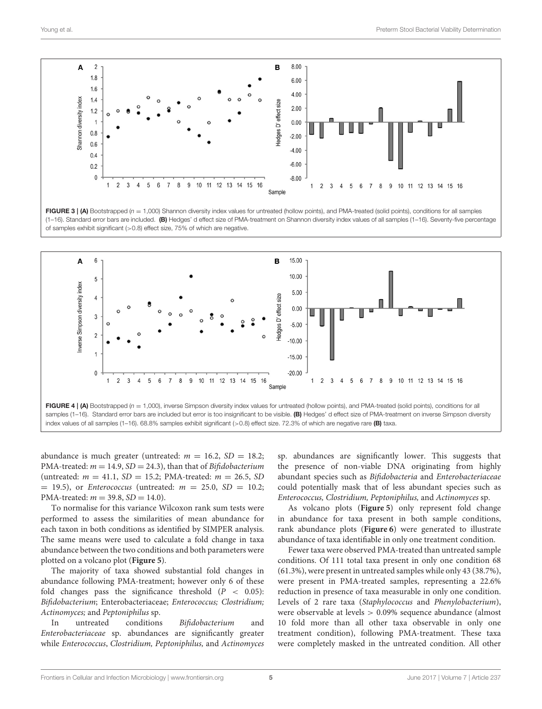

<span id="page-4-0"></span>FIGURE 3 | (A) Bootstrapped  $(n = 1,000)$  Shannon diversity index values for untreated (hollow points), and PMA-treated (solid points), conditions for all samples (1–16). Standard error bars are included. (B) Hedges' d effect size of PMA-treatment on Shannon diversity index values of all samples (1–16). Seventy-five percentage of samples exhibit significant (>0.8) effect size, 75% of which are negative.



<span id="page-4-1"></span>index values of all samples (1–16). 68.8% samples exhibit significant (>0.8) effect size. 72.3% of which are negative rare (B) taxa.

abundance is much greater (untreated:  $m = 16.2$ ,  $SD = 18.2$ ; PMA-treated:  $m = 14.9$ ,  $SD = 24.3$ ), than that of *Bifidobacterium* (untreated:  $m = 41.1$ ,  $SD = 15.2$ ; PMA-treated:  $m = 26.5$ , SD  $=$  19.5), or *Enterococcus* (untreated:  $m = 25.0$ ,  $SD = 10.2$ ; PMA-treated:  $m = 39.8$ ,  $SD = 14.0$ ).

To normalise for this variance Wilcoxon rank sum tests were performed to assess the similarities of mean abundance for each taxon in both conditions as identified by SIMPER analysis. The same means were used to calculate a fold change in taxa abundance between the two conditions and both parameters were plotted on a volcano plot (**[Figure 5](#page-5-1)**).

The majority of taxa showed substantial fold changes in abundance following PMA-treatment; however only 6 of these fold changes pass the significance threshold  $(P < 0.05)$ : Bifidobacterium; Enterobacteriaceae; Enterococcus; Clostridium; Actinomyces; and Peptoniphilus sp.

In untreated conditions Bifidobacterium and Enterobacteriaceae sp. abundances are significantly greater while Enterococcus, Clostridium, Peptoniphilus, and Actinomyces sp. abundances are significantly lower. This suggests that the presence of non-viable DNA originating from highly abundant species such as Bifidobacteria and Enterobacteriaceae could potentially mask that of less abundant species such as Enterococcus, Clostridium, Peptoniphilus, and Actinomyces sp.

As volcano plots (**[Figure 5](#page-5-1)**) only represent fold change in abundance for taxa present in both sample conditions, rank abundance plots (**[Figure 6](#page-6-0)**) were generated to illustrate abundance of taxa identifiable in only one treatment condition.

Fewer taxa were observed PMA-treated than untreated sample conditions. Of 111 total taxa present in only one condition 68 (61.3%), were present in untreated samples while only 43 (38.7%), were present in PMA-treated samples, representing a 22.6% reduction in presence of taxa measurable in only one condition. Levels of 2 rare taxa (Staphylococcus and Phenylobacterium), were observable at levels > 0.09% sequence abundance (almost 10 fold more than all other taxa observable in only one treatment condition), following PMA-treatment. These taxa were completely masked in the untreated condition. All other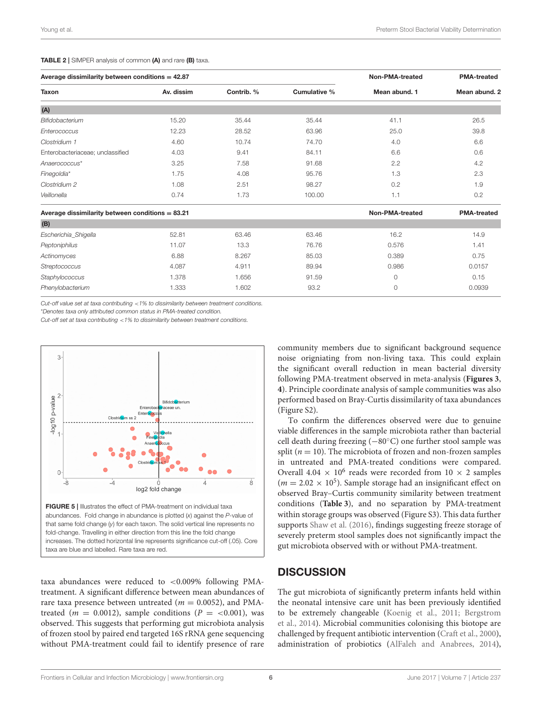#### <span id="page-5-0"></span>TABLE 2 | SIMPER analysis of common (A) and rare (B) taxa.

| Average dissimilarity between conditions = $42.87$ |                        |                    |              | Non-PMA-treated | <b>PMA-treated</b> |  |
|----------------------------------------------------|------------------------|--------------------|--------------|-----------------|--------------------|--|
| Taxon                                              | Av. dissim             | Contrib. %         | Cumulative % | Mean abund, 1   | Mean abund, 2      |  |
| (A)                                                |                        |                    |              |                 |                    |  |
| Bifidobacterium                                    | 15.20                  | 35.44              | 35.44        | 41.1            | 26.5               |  |
| Enterococcus                                       | 12.23                  | 28.52              | 63.96        | 25.0            | 39.8               |  |
| Clostridium 1                                      | 4.60                   | 10.74              | 74.70        | 4.0             | 6.6                |  |
| Enterobacteriaceae; unclassified                   | 4.03                   | 9.41               | 84.11        | 6.6             | 0.6                |  |
| Anaerococcus*                                      | 3.25                   | 7.58               | 91.68        | 2.2             | 4.2                |  |
| Finegoldia*                                        | 1.75                   | 4.08               | 95.76        | 1.3             | 2.3                |  |
| Clostridium 2                                      | 1.08                   | 2.51               | 98.27        | 0.2             | 1.9                |  |
| Veillonella                                        | 0.74                   | 1.73               | 100.00       | 1.1             | 0.2                |  |
| Average dissimilarity between conditions = $83.21$ | <b>Non-PMA-treated</b> | <b>PMA-treated</b> |              |                 |                    |  |
| (B)                                                |                        |                    |              |                 |                    |  |
| Escherichia_Shigella                               | 52.81                  | 63.46              | 63.46        | 16.2            | 14.9               |  |
| Peptoniphilus                                      | 11.07                  | 13.3               | 76.76        | 0.576           | 1.41               |  |
| Actinomyces                                        | 6.88                   | 8.267              | 85.03        | 0.389           | 0.75               |  |
| Streptococcus                                      | 4.087                  | 4.911              | 89.94        | 0.986           | 0.0157             |  |
| Staphylococcus                                     | 1.378                  | 1.656              | 91.59        | $\circ$         | 0.15               |  |
| Phenylobacterium                                   | 1.333                  | 1.602              | 93.2         | 0               | 0.0939             |  |

Cut-off value set at taxa contributing  $\lt 1\%$  to dissimilarity between treatment conditions.

\*Denotes taxa only attributed common status in PMA-treated condition.

Cut-off set at taxa contributing <1% to dissimilarity between treatment conditions.



<span id="page-5-1"></span>taxa are blue and labelled. Rare taxa are red.

taxa abundances were reduced to <0.009% following PMAtreatment. A significant difference between mean abundances of rare taxa presence between untreated ( $m = 0.0052$ ), and PMAtreated ( $m = 0.0012$ ), sample conditions ( $P = <0.001$ ), was observed. This suggests that performing gut microbiota analysis of frozen stool by paired end targeted 16S rRNA gene sequencing without PMA-treatment could fail to identify presence of rare community members due to significant background sequence noise origniating from non-living taxa. This could explain the significant overall reduction in mean bacterial diversity following PMA-treatment observed in meta-analysis (**[Figures 3](#page-4-0)**, **[4](#page-4-1)**). Principle coordinate analysis of sample communities was also performed based on Bray-Curtis dissimilarity of taxa abundances (Figure S2).

To confirm the differences observed were due to genuine viable differences in the sample microbiota rather than bacterial cell death during freezing (−80◦C) one further stool sample was split ( $n = 10$ ). The microbiota of frozen and non-frozen samples in untreated and PMA-treated conditions were compared. Overall 4.04  $\times$  10<sup>6</sup> reads were recorded from 10  $\times$  2 samples  $(m = 2.02 \times 10^5)$ . Sample storage had an insignificant effect on observed Bray–Curtis community similarity between treatment conditions (**[Table 3](#page-6-1)**), and no separation by PMA-treatment within storage groups was observed (Figure S3). This data further supports [Shaw et al. \(2016\)](#page-9-17), findings suggesting freeze storage of severely preterm stool samples does not significantly impact the gut microbiota observed with or without PMA-treatment.

#### **DISCUSSION**

The gut microbiota of significantly preterm infants held within the neonatal intensive care unit has been previously identified to be extremely changeable [\(Koenig et al., 2011;](#page-8-10) Bergstrom et al., [2014\)](#page-8-11). Microbial communities colonising this biotope are challenged by frequent antibiotic intervention [\(Craft et al., 2000\)](#page-8-27), administration of probiotics [\(AlFaleh and Anabrees, 2014\)](#page-8-28),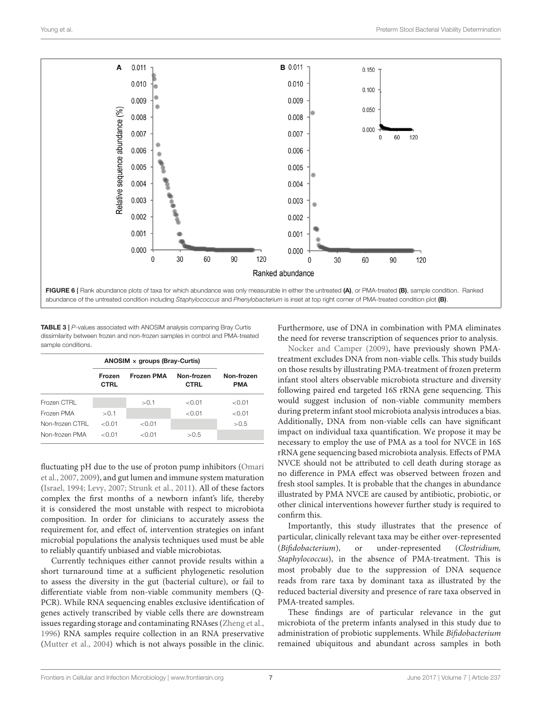

<span id="page-6-1"></span><span id="page-6-0"></span>TABLE 3 | P-values associated with ANOSIM analysis comparing Bray Curtis dissimilarity between frozen and non-frozen samples in control and PMA-treated sample conditions.

|                 | ANOSIM $\times$ groups (Bray-Curtis) |                   |                           |                          |
|-----------------|--------------------------------------|-------------------|---------------------------|--------------------------|
|                 | Frozen<br><b>CTRL</b>                | <b>Frozen PMA</b> | Non-frozen<br><b>CTRL</b> | Non-frozen<br><b>PMA</b> |
| Frozen CTRL     |                                      | > 0.1             | < 0.01                    | < 0.01                   |
| Frozen PMA      | > 0.1                                |                   | < 0.01                    | < 0.01                   |
| Non-frozen CTRL | $<$ 0.01                             | < 0.01            |                           | > 0.5                    |
| Non-frozen PMA  | $<$ 0.01                             | < 0.01            | > 0.5                     |                          |

fluctuating pH due to the use of proton pump inhibitors (Omari et al., [2007,](#page-8-29) [2009\)](#page-9-18), and gut lumen and immune system maturation [\(Israel, 1994;](#page-8-30) [Levy, 2007;](#page-8-0) [Strunk et al., 2011\)](#page-9-0). All of these factors complex the first months of a newborn infant's life, thereby it is considered the most unstable with respect to microbiota composition. In order for clinicians to accurately assess the requirement for, and effect of, intervention strategies on infant microbial populations the analysis techniques used must be able to reliably quantify unbiased and viable microbiotas.

Currently techniques either cannot provide results within a short turnaround time at a sufficient phylogenetic resolution to assess the diversity in the gut (bacterial culture), or fail to differentiate viable from non-viable community members (Q-PCR). While RNA sequencing enables exclusive identification of genes actively transcribed by viable cells there are downstream issues regarding storage and contaminating RNAses [\(Zheng et al.,](#page-9-19) [1996\)](#page-9-19) RNA samples require collection in an RNA preservative [\(Mutter et al., 2004\)](#page-8-31) which is not always possible in the clinic. Furthermore, use of DNA in combination with PMA eliminates the need for reverse transcription of sequences prior to analysis.

[Nocker and Camper \(2009\)](#page-8-9), have previously shown PMAtreatment excludes DNA from non-viable cells. This study builds on those results by illustrating PMA-treatment of frozen preterm infant stool alters observable microbiota structure and diversity following paired end targeted 16S rRNA gene sequencing. This would suggest inclusion of non-viable community members during preterm infant stool microbiota analysis introduces a bias. Additionally, DNA from non-viable cells can have significant impact on individual taxa quantification. We propose it may be necessary to employ the use of PMA as a tool for NVCE in 16S rRNA gene sequencing based microbiota analysis. Effects of PMA NVCE should not be attributed to cell death during storage as no difference in PMA effect was observed between frozen and fresh stool samples. It is probable that the changes in abundance illustrated by PMA NVCE are caused by antibiotic, probiotic, or other clinical interventions however further study is required to confirm this.

Importantly, this study illustrates that the presence of particular, clinically relevant taxa may be either over-represented (Bifidobacterium), or under-represented (Clostridium, Staphylococcus), in the absence of PMA-treatment. This is most probably due to the suppression of DNA sequence reads from rare taxa by dominant taxa as illustrated by the reduced bacterial diversity and presence of rare taxa observed in PMA-treated samples.

These findings are of particular relevance in the gut microbiota of the preterm infants analysed in this study due to administration of probiotic supplements. While Bifidobacterium remained ubiquitous and abundant across samples in both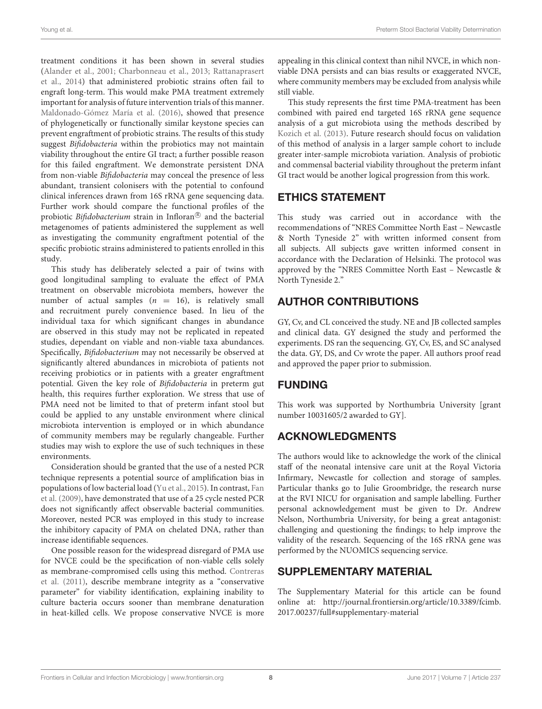treatment conditions it has been shown in several studies [\(Alander et al., 2001;](#page-8-32) [Charbonneau et al., 2013;](#page-8-33) Rattanaprasert et al., [2014\)](#page-9-20) that administered probiotic strains often fail to engraft long-term. This would make PMA treatment extremely important for analysis of future intervention trials of this manner. [Maldonado-Gómez María et al. \(2016\)](#page-8-34), showed that presence of phylogenetically or functionally similar keystone species can prevent engraftment of probiotic strains. The results of this study suggest Bifidobacteria within the probiotics may not maintain viability throughout the entire GI tract; a further possible reason for this failed engraftment. We demonstrate persistent DNA from non-viable Bifidobacteria may conceal the presence of less abundant, transient colonisers with the potential to confound clinical inferences drawn from 16S rRNA gene sequencing data. Further work should compare the functional profiles of the probiotic *Bifidobacterium* strain in Infloran<sup>®</sup> and the bacterial metagenomes of patients administered the supplement as well as investigating the community engraftment potential of the specific probiotic strains administered to patients enrolled in this study.

This study has deliberately selected a pair of twins with good longitudinal sampling to evaluate the effect of PMA treatment on observable microbiota members, however the number of actual samples  $(n = 16)$ , is relatively small and recruitment purely convenience based. In lieu of the individual taxa for which significant changes in abundance are observed in this study may not be replicated in repeated studies, dependant on viable and non-viable taxa abundances. Specifically, Bifidobacterium may not necessarily be observed at significantly altered abundances in microbiota of patients not receiving probiotics or in patients with a greater engraftment potential. Given the key role of Bifidobacteria in preterm gut health, this requires further exploration. We stress that use of PMA need not be limited to that of preterm infant stool but could be applied to any unstable environment where clinical microbiota intervention is employed or in which abundance of community members may be regularly changeable. Further studies may wish to explore the use of such techniques in these environments.

Consideration should be granted that the use of a nested PCR technique represents a potential source of amplification bias in populations of low bacterial load [\(Yu et al., 2015\)](#page-9-21). In contrast, Fan et al. [\(2009\)](#page-8-35), have demonstrated that use of a 25 cycle nested PCR does not significantly affect observable bacterial communities. Moreover, nested PCR was employed in this study to increase the inhibitory capacity of PMA on chelated DNA, rather than increase identifiable sequences.

One possible reason for the widespread disregard of PMA use for NVCE could be the specification of non-viable cells solely as membrane-compromised cells using this method. Contreras et al. [\(2011\)](#page-8-36), describe membrane integrity as a "conservative parameter" for viability identification, explaining inability to culture bacteria occurs sooner than membrane denaturation in heat-killed cells. We propose conservative NVCE is more appealing in this clinical context than nihil NVCE, in which nonviable DNA persists and can bias results or exaggerated NVCE, where community members may be excluded from analysis while still viable.

This study represents the first time PMA-treatment has been combined with paired end targeted 16S rRNA gene sequence analysis of a gut microbiota using the methods described by [Kozich et al. \(2013\)](#page-8-20). Future research should focus on validation of this method of analysis in a larger sample cohort to include greater inter-sample microbiota variation. Analysis of probiotic and commensal bacterial viability throughout the preterm infant GI tract would be another logical progression from this work.

### ETHICS STATEMENT

This study was carried out in accordance with the recommendations of "NRES Committee North East – Newcastle & North Tyneside 2" with written informed consent from all subjects. All subjects gave written informed consent in accordance with the Declaration of Helsinki. The protocol was approved by the "NRES Committee North East – Newcastle & North Tyneside 2."

## AUTHOR CONTRIBUTIONS

GY, Cv, and CL conceived the study. NE and JB collected samples and clinical data. GY designed the study and performed the experiments. DS ran the sequencing. GY, Cv, ES, and SC analysed the data. GY, DS, and Cv wrote the paper. All authors proof read and approved the paper prior to submission.

## FUNDING

This work was supported by Northumbria University [grant number 10031605/2 awarded to GY].

## ACKNOWLEDGMENTS

The authors would like to acknowledge the work of the clinical staff of the neonatal intensive care unit at the Royal Victoria Infirmary, Newcastle for collection and storage of samples. Particular thanks go to Julie Groombridge, the research nurse at the RVI NICU for organisation and sample labelling. Further personal acknowledgement must be given to Dr. Andrew Nelson, Northumbria University, for being a great antagonist: challenging and questioning the findings; to help improve the validity of the research. Sequencing of the 16S rRNA gene was performed by the NUOMICS sequencing service.

#### SUPPLEMENTARY MATERIAL

The Supplementary Material for this article can be found [online at: http://journal.frontiersin.org/article/10.3389/fcimb.](http://journal.frontiersin.org/article/10.3389/fcimb.2017.00237/full#supplementary-material) 2017.00237/full#supplementary-material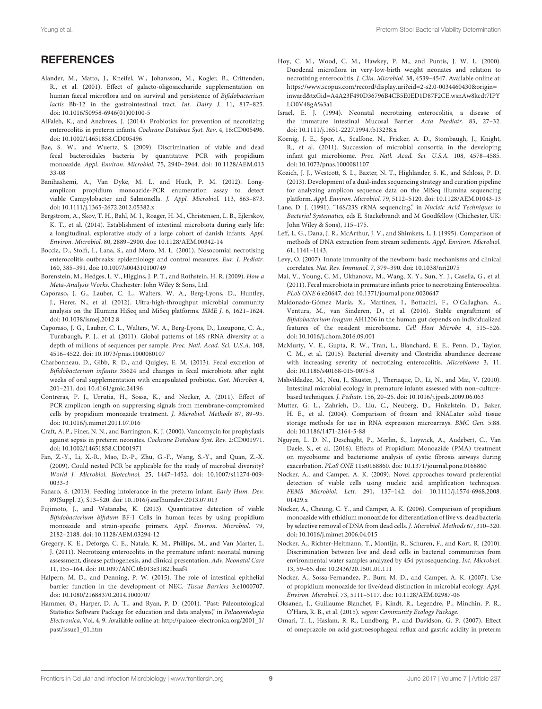**REFERENCES** 

- <span id="page-8-32"></span>Alander, M., Matto, J., Kneifel, W., Johansson, M., Kogler, B., Crittenden, R., et al. (2001). Effect of galacto-oligosaccharide supplementation on human faecal microflora and on survival and persistence of Bifidobacterium lactis Bb-12 in the gastrointestinal tract. Int. Dairy J. 11, 817–825. doi: [10.1016/S0958-6946\(01\)00100-5](https://doi.org/10.1016/S0958-6946(01)00100-5)
- <span id="page-8-28"></span>AlFaleh, K., and Anabrees, J. (2014). Probiotics for prevention of necrotizing enterocolitis in preterm infants. Cochrane Database Syst. Rev. 4, 16:CD005496. doi: [10.1002/14651858.CD005496](https://doi.org/10.1002/14651858.CD005496)
- <span id="page-8-14"></span>Bae, S. W., and Wuertz, S. (2009). Discrimination of viable and dead fecal bacteroidales bacteria by quantitative PCR with propidium monoazide. Appl. Environ. Microbiol. [75, 2940–2944. doi: 10.1128/AEM.013](https://doi.org/10.1128/AEM.01333-08) 33-08
- <span id="page-8-21"></span>Banihashemi, A., Van Dyke, M. I., and Huck, P. M. (2012). Longamplicon propidium monoazide-PCR enumeration assay to detect viable Campylobacter and Salmonella. J. Appl. Microbiol. 113, 863–873. doi: [10.1111/j.1365-2672.2012.05382.x](https://doi.org/10.1111/j.1365-2672.2012.05382.x)
- <span id="page-8-11"></span>Bergstrom, A., Skov, T. H., Bahl, M. I., Roager, H. M., Christensen, L. B., Ejlerskov, K. T., et al. (2014). Establishment of intestinal microbiota during early life: a longitudinal, explorative study of a large cohort of danish infants. Appl. Environ. Microbiol. 80, 2889–2900. doi: [10.1128/AEM.00342-14](https://doi.org/10.1128/AEM.00342-14)
- <span id="page-8-4"></span>Boccia, D., Stolfi, I., Lana, S., and Moro, M. L. (2001). Nosocomial necrotising enterocolitis outbreaks: epidemiology and control measures. Eur. J. Pediatr. 160, 385–391. doi: [10.1007/s004310100749](https://doi.org/10.1007/s004310100749)
- <span id="page-8-25"></span>Borenstein, M., Hedges, L. V., Higgins, J. P. T., and Rothstein, H. R. (2009). How a Meta-Analysis Works. Chichester: John Wiley & Sons, Ltd.
- <span id="page-8-6"></span>Caporaso, J. G., Lauber, C. L., Walters, W. A., Berg-Lyons, D., Huntley, J., Fierer, N., et al. (2012). Ultra-high-throughput microbial community analysis on the Illumina HiSeq and MiSeq platforms. ISME J. 6, 1621–1624. doi: [10.1038/ismej.2012.8](https://doi.org/10.1038/ismej.2012.8)
- <span id="page-8-23"></span>Caporaso, J. G., Lauber, C. L., Walters, W. A., Berg-Lyons, D., Lozupone, C. A., Turnbaugh, P. J., et al. (2011). Global patterns of 16S rRNA diversity at a depth of millions of sequences per sample. Proc. Natl. Acad. Sci. U.S.A. 108, 4516–4522. doi: [10.1073/pnas.1000080107](https://doi.org/10.1073/pnas.1000080107)
- <span id="page-8-33"></span>Charbonneau, D., Gibb, R. D., and Quigley, E. M. (2013). Fecal excretion of Bifidobacterium infantis 35624 and changes in fecal microbiota after eight weeks of oral supplementation with encapsulated probiotic. Gut. Microbes 4, 201–211. doi: [10.4161/gmic.24196](https://doi.org/10.4161/gmic.24196)
- <span id="page-8-36"></span>Contreras, P. J., Urrutia, H., Sossa, K., and Nocker, A. (2011). Effect of PCR amplicon length on suppressing signals from membrane-compromised cells by propidium monoazide treatment. J. Microbiol. Methods 87, 89–95. doi: [10.1016/j.mimet.2011.07.016](https://doi.org/10.1016/j.mimet.2011.07.016)
- <span id="page-8-27"></span>Craft, A. P., Finer, N. N., and Barrington, K. J. (2000). Vancomycin for prophylaxis against sepsis in preterm neonates. Cochrane Database Syst. Rev. 2:CD001971. doi: [10.1002/14651858.CD001971](https://doi.org/10.1002/14651858.CD001971)
- <span id="page-8-35"></span>Fan, Z.-Y., Li, X.-R., Mao, D.-P., Zhu, G.-F., Wang, S.-Y., and Quan, Z.-X. (2009). Could nested PCR be applicable for the study of microbial diversity? World J. Microbiol. Biotechnol. [25, 1447–1452. doi: 10.1007/s11274-009-](https://doi.org/10.1007/s11274-009-0033-3) 0033-3
- <span id="page-8-2"></span>Fanaro, S. (2013). Feeding intolerance in the preterm infant. Early Hum. Dev. 89(Suppl. 2), S13–S20. doi: [10.1016/j.earlhumdev.2013.07.013](https://doi.org/10.1016/j.earlhumdev.2013.07.013)
- <span id="page-8-15"></span>Fujimoto, J., and Watanabe, K. (2013). Quantitative detection of viable Bifidobacterium bifidum BF-1 Cells in human feces by using propidium monoazide and strain-specific primers. Appl. Environ. Microbiol. 79, 2182–2188. doi: [10.1128/AEM.03294-12](https://doi.org/10.1128/AEM.03294-12)
- <span id="page-8-3"></span>Gregory, K. E., Deforge, C. E., Natale, K. M., Phillips, M., and Van Marter, L. J. (2011). Necrotizing enterocolitis in the premature infant: neonatal nursing assessment, disease pathogenesis, and clinical presentation. Adv. Neonatal Care 11, 155–164. doi: [10.1097/ANC.0b013e31821baaf4](https://doi.org/10.1097/ANC.0b013e31821baaf4)
- <span id="page-8-1"></span>Halpern, M. D., and Denning, P. W. (2015). The role of intestinal epithelial barrier function in the development of NEC. Tissue Barriers 3:e1000707. doi: [10.1080/21688370.2014.1000707](https://doi.org/10.1080/21688370.2014.1000707)
- <span id="page-8-26"></span>Hammer, Ø., Harper, D. A. T., and Ryan, P. D. (2001). "Past: Paleontological Statistics Software Package for education and data analysis," in Palaeontologia Electronica, Vol. 4, 9. Available online at: [http://palaeo-electronica.org/2001\\_1/](http://palaeo-electronica.org/2001_1/past/issue1_01.htm) [past/issue1\\_01.htm](http://palaeo-electronica.org/2001_1/past/issue1_01.htm)
- <span id="page-8-5"></span>Hoy, C. M., Wood, C. M., Hawkey, P. M., and Puntis, J. W. L. (2000). Duodenal microflora in very-low-birth weight neonates and relation to necrotizing enterocolitis. J. Clin. Microbiol. 38, 4539–4547. Available online at: [https://www.scopus.com/record/display.uri?eid=2-s2.0-0034460430&origin=](https://www.scopus.com/record/display.uri?eid=2-s2.0-0034460430&origin=inward&txGid=A4A23F490D36796B4CB5E0ED1D87F2CE.wsnAw8kcdt7IPYLO0V48gA%3a1) [inward&txGid=A4A23F490D36796B4CB5E0ED1D87F2CE.wsnAw8kcdt7IPY](https://www.scopus.com/record/display.uri?eid=2-s2.0-0034460430&origin=inward&txGid=A4A23F490D36796B4CB5E0ED1D87F2CE.wsnAw8kcdt7IPYLO0V48gA%3a1) [LO0V48gA%3a1](https://www.scopus.com/record/display.uri?eid=2-s2.0-0034460430&origin=inward&txGid=A4A23F490D36796B4CB5E0ED1D87F2CE.wsnAw8kcdt7IPYLO0V48gA%3a1)
- <span id="page-8-30"></span>Israel, E. J. (1994). Neonatal necrotizing enterocolitis, a disease of the immature intestinal Mucosal Barrier. Acta Paediatr. 83, 27–32. doi: [10.1111/j.1651-2227.1994.tb13238.x](https://doi.org/10.1111/j.1651-2227.1994.tb13238.x)
- <span id="page-8-10"></span>Koenig, J. E., Spor, A., Scalfone, N., Fricker, A. D., Stombaugh, J., Knight, R., et al. (2011). Succession of microbial consortia in the developing infant gut microbiome. Proc. Natl. Acad. Sci. U.S.A. 108, 4578–4585. doi: [10.1073/pnas.1000081107](https://doi.org/10.1073/pnas.1000081107)
- <span id="page-8-20"></span>Kozich, J. J., Westcott, S. L., Baxter, N. T., Highlander, S. K., and Schloss, P. D. (2013). Development of a dual-index sequencing strategy and curation pipeline for analyzing amplicon sequence data on the MiSeq illumina sequencing platform. Appl. Environ. Microbiol. 79, 5112–5120. doi: [10.1128/AEM.01043-13](https://doi.org/10.1128/AEM.01043-13)
- <span id="page-8-22"></span>Lane, D. J. (1991). "16S/23S rRNA sequencing," in Nucleic Acid Techniques in Bacterial Systematics, eds E. Stackebrandt and M Goodfellow (Chichester, UK: John Wiley & Sons), 115–175.
- <span id="page-8-7"></span>Leff, L. G., Dana, J. R., McArthur, J. V., and Shimkets, L. J. (1995). Comparison of methods of DNA extraction from stream sediments. Appl. Environ. Microbiol. 61, 1141–1143.
- <span id="page-8-0"></span>Levy, O. (2007). Innate immunity of the newborn: basic mechanisms and clinical correlates. Nat. Rev. Immunol. 7, 379–390. doi: [10.1038/nri2075](https://doi.org/10.1038/nri2075)
- <span id="page-8-18"></span>Mai, V., Young, C. M., Ukhanova, M., Wang, X. Y., Sun, Y. J., Casella, G., et al. (2011). Fecal microbiota in premature infants prior to necrotizing Enterocolitis. PLoS ONE 6:e20647. doi: [10.1371/journal.pone.0020647](https://doi.org/10.1371/journal.pone.0020647)
- <span id="page-8-34"></span>Maldonado-Gómez María, X., Martínez, I., Bottacini, F., O'Callaghan, A., Ventura, M., van Sinderen, D., et al. (2016). Stable engraftment of Bifidobacterium longum AH1206 in the human gut depends on individualized features of the resident microbiome. Cell Host Microbe 4, 515–526. doi: [10.1016/j.chom.2016.09.001](https://doi.org/10.1016/j.chom.2016.09.001)
- <span id="page-8-19"></span>McMurty, V. E., Gupta, R. W., Tran, L., Blanchard, E. E., Penn, D., Taylor, C. M., et al. (2015). Bacterial diversity and Clostridia abundance decrease with increasing severity of necrotizing enterocolitis. Microbiome 3, 11. doi: [10.1186/s40168-015-0075-8](https://doi.org/10.1186/s40168-015-0075-8)
- <span id="page-8-17"></span>Mshvildadze, M., Neu, J., Shuster, J., Theriaque, D., Li, N., and Mai, V. (2010). Intestinal microbial ecology in premature infants assessed with non–culturebased techniques. J. Pediatr. 156, 20–25. doi: [10.1016/j.jpeds.2009.06.063](https://doi.org/10.1016/j.jpeds.2009.06.063)
- <span id="page-8-31"></span>Mutter, G. L., Zahrieh, D., Liu, C., Neuberg, D., Finkelstein, D., Baker, H. E., et al. (2004). Comparison of frozen and RNALater solid tissue storage methods for use in RNA expression microarrays. BMC Gen. 5:88. doi: [10.1186/1471-2164-5-88](https://doi.org/10.1186/1471-2164-5-88)
- <span id="page-8-16"></span>Nguyen, L. D. N., Deschaght, P., Merlin, S., Loywick, A., Audebert, C., Van Daele, S., et al. (2016). Effects of Propidium Monoazide (PMA) treatment on mycobiome and bacteriome analysis of cystic fibrosis airways during exacerbation. PLoS ONE 11:e0168860. doi: [10.1371/journal.pone.0168860](https://doi.org/10.1371/journal.pone.0168860)
- <span id="page-8-9"></span>Nocker, A., and Camper, A. K. (2009). Novel approaches toward preferential detection of viable cells using nucleic acid amplification techniques. FEMS Microbiol. Lett. [291, 137–142. doi: 10.1111/j.1574-6968.2008.](https://doi.org/10.1111/j.1574-6968.2008.01429.x) 01429.x
- <span id="page-8-8"></span>Nocker, A., Cheung, C. Y., and Camper, A. K. (2006). Comparison of propidium monoazide with ethidium monoazide for differentiation of live vs. dead bacteria by selective removal of DNA from dead cells. J. Microbiol. Methods 67, 310–320. doi: [10.1016/j.mimet.2006.04.015](https://doi.org/10.1016/j.mimet.2006.04.015)
- <span id="page-8-13"></span>Nocker, A., Richter-Heitmann, T., Montijn, R., Schuren, F., and Kort, R. (2010). Discrimination between live and dead cells in bacterial communities from environmental water samples analyzed by 454 pyrosequencing. Int. Microbiol. 13, 59–65. doi: [10.2436/20.1501.01.111](https://doi.org/10.2436/20.1501.01.111)
- <span id="page-8-12"></span>Nocker, A., Sossa-Fernandez, P., Burr, M. D., and Camper, A. K. (2007). Use of propidium monoazide for live/dead distinction in microbial ecology. Appl. Environ. Microbiol. 73, 5111–5117. doi: [10.1128/AEM.02987-06](https://doi.org/10.1128/AEM.02987-06)
- <span id="page-8-24"></span>Oksanen, J., Guillaume Blanchet, F., Kindt, R., Legendre, P., Minchin, P. R., O'Hara, R. B., et al. (2015). vegan: Community Ecology Package.
- <span id="page-8-29"></span>Omari, T. I., Haslam, R. R., Lundborg, P., and Davidson, G. P. (2007). Effect of omeprazole on acid gastroesophageal reflux and gastric acidity in preterm